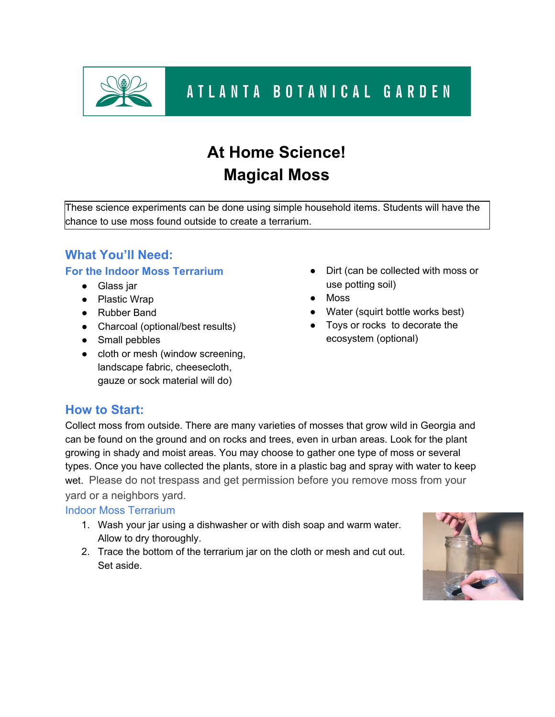

# **At Home Science! Magical Moss**

These science experiments can be done using simple household items. Students will have the chance to use moss found outside to create a terrarium.

## **What You'll Need: For the Indoor Moss Terrarium**

- Glass jar
- Plastic Wrap
- Rubber Band
- Charcoal (optional/best results)
- Small pebbles
- cloth or mesh (window screening, landscape fabric, cheesecloth, gauze or sock material will do)
- Dirt (can be collected with moss or use potting soil)
- Moss
- Water (squirt bottle works best)
- Toys or rocks to decorate the ecosystem (optional)

# **How to Start:**

Collect moss from outside. There are many varieties of mosses that grow wild in Georgia and can be found on the ground and on rocks and trees, even in urban areas. Look for the plant growing in shady and moist areas. You may choose to gather one type of moss or several types. Once you have collected the plants, store in a plastic bag and spray with water to keep wet. Please do not trespass and get permission before you remove moss from your yard or a neighbors yard.

### Indoor Moss Terrarium

- 1. Wash your jar using a dishwasher or with dish soap and warm water. Allow to dry thoroughly.
- 2. Trace the bottom of the terrarium jar on the cloth or mesh and cut out. Set aside.

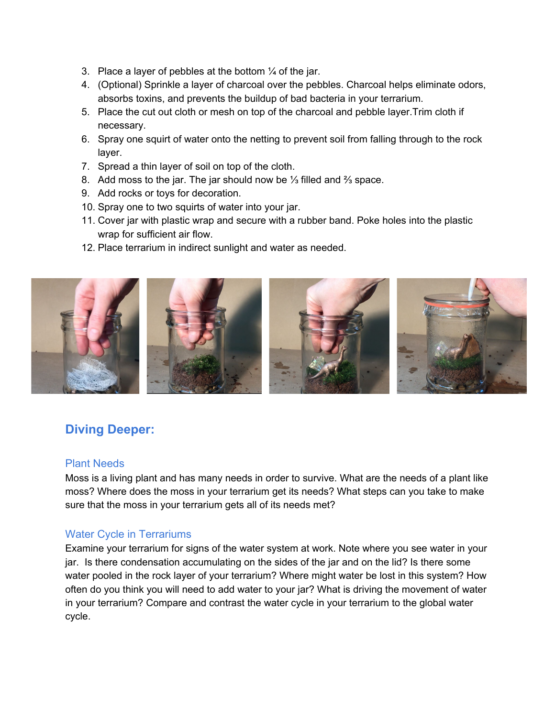- 3. Place a layer of pebbles at the bottom  $\frac{1}{4}$  of the jar.
- 4. (Optional) Sprinkle a layer of charcoal over the pebbles. Charcoal helps eliminate odors, absorbs toxins, and prevents the buildup of bad bacteria in your terrarium.
- 5. Place the cut out cloth or mesh on top of the charcoal and pebble layer.Trim cloth if necessary.
- 6. Spray one squirt of water onto the netting to prevent soil from falling through to the rock layer.
- 7. Spread a thin layer of soil on top of the cloth.
- 8. Add moss to the jar. The jar should now be ⅓ filled and ⅔ space.
- 9. Add rocks or toys for decoration.
- 10. Spray one to two squirts of water into your jar.
- 11. Cover jar with plastic wrap and secure with a rubber band. Poke holes into the plastic wrap for sufficient air flow.
- 12. Place terrarium in indirect sunlight and water as needed.



# **Diving Deeper:**

#### Plant Needs

Moss is a living plant and has many needs in order to survive. What are the needs of a plant like moss? Where does the moss in your terrarium get its needs? What steps can you take to make sure that the moss in your terrarium gets all of its needs met?

### Water Cycle in Terrariums

Examine your terrarium for signs of the water system at work. Note where you see water in your jar. Is there condensation accumulating on the sides of the jar and on the lid? Is there some water pooled in the rock layer of your terrarium? Where might water be lost in this system? How often do you think you will need to add water to your jar? What is driving the movement of water in your terrarium? Compare and contrast the water cycle in your terrarium to the global water cycle.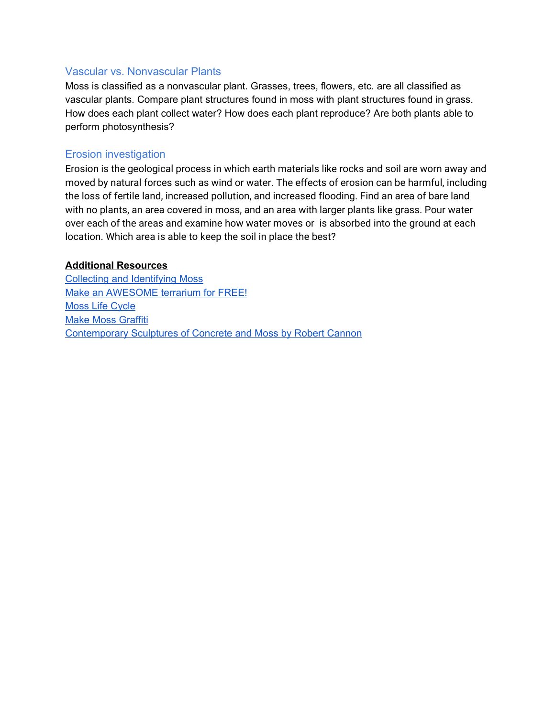#### Vascular vs. Nonvascular Plants

Moss is classified as a nonvascular plant. Grasses, trees, flowers, etc. are all classified as vascular plants. Compare plant structures found in moss with plant structures found in grass. How does each plant collect water? How does each plant reproduce? Are both plants able to perform photosynthesis?

#### Erosion investigation

Erosion is the geological process in which earth materials like rocks and soil are worn away and moved by natural forces such as wind or water. The effects of erosion can be harmful, including the loss of fertile land, increased pollution, and increased flooding. Find an area of bare land with no plants, an area covered in moss, and an area with larger plants like grass. Pour water over each of the areas and examine how water moves or is absorbed into the ground at each location. Which area is able to keep the soil in place the best?

#### **Additional Resources**

Collecting and [Identifying](https://www.youtube.com/watch?v=hJAmG1pHqho&authuser=1) Moss Make an [AWESOME](https://www.youtube.com/watch?v=hJAmG1pHqho&authuser=1) terrarium for FREE! Moss Life [Cycle](https://www.youtube.com/watch?v=u2zKxHnVWoU) Make Moss [Graffiti](https://www.wikihow.com/Make-Moss-Graffiti) [Contemporary](https://www.iloboyou.com/contemporary-sculptures-concrete-moss-robert-cannon/) Sculptures of Concrete and Moss by Robert Cannon